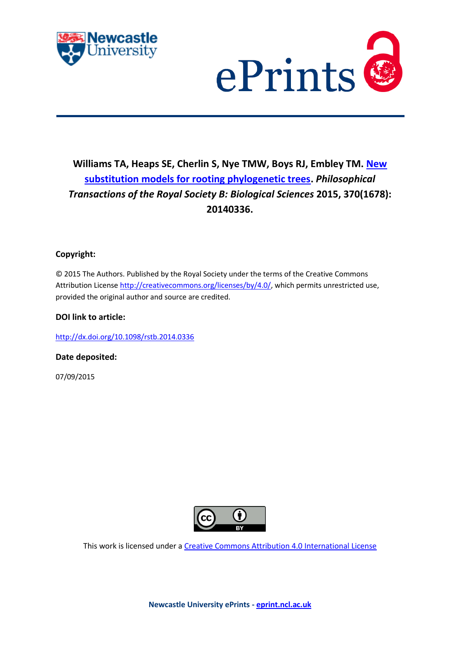



# **Williams TA, Heaps SE, Cherlin S, Nye TMW, Boys RJ, Embley TM. [New](javascript:ViewPublication(214896);)  [substitution models for rooting phylogenetic trees.](javascript:ViewPublication(214896);)** *Philosophical Transactions of the Royal Society B: Biological Sciences* **2015, 370(1678): 20140336.**

### **Copyright:**

© 2015 The Authors. Published by the Royal Society under the terms of the Creative Commons Attribution License [http://creativecommons.org/licenses/by/4.0/,](http://creativecommons.org/licenses/by/4.0/) which permits unrestricted use, provided the original author and source are credited.

### **DOI link to article:**

<http://dx.doi.org/10.1098/rstb.2014.0336>

**Date deposited:** 

07/09/2015



This work is licensed under [a Creative Commons Attribution 4.0 International License](http://creativecommons.org/licenses/by/4.0/)

**Newcastle University ePrints - [eprint.ncl.ac.uk](http://eprint.ncl.ac.uk/)**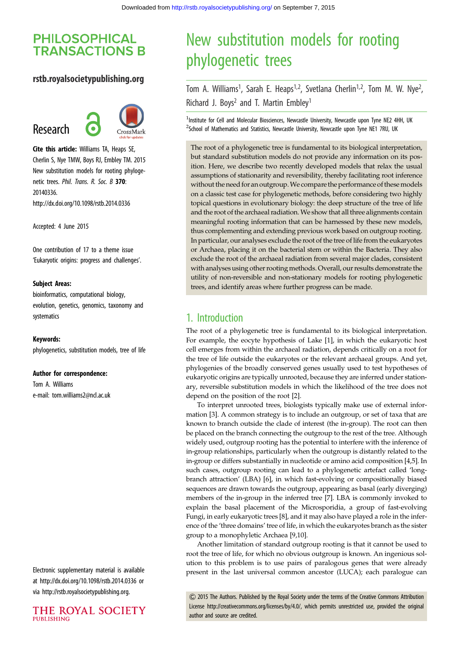## **PHILOSOPHICAL TRANSACTIONS B**

### rstb.royalsocietypublishing.org

# Research



Cite this article: Williams TA, Heaps SE, Cherlin S, Nye TMW, Boys RJ, Embley TM. 2015 New substitution models for rooting phylogenetic trees. Phil. Trans. R. Soc. B 370: 20140336. http://dx.doi.org/10.1098/rstb.2014.0336

Accepted: 4 June 2015

One contribution of 17 to a theme issue 'Eukaryotic origins: progress and challenges'.

### Subject Areas:

bioinformatics, computational biology, evolution, genetics, genomics, taxonomy and systematics

#### Keywords:

phylogenetics, substitution models, tree of life

#### Author for correspondence:

Tom A. Williams e-mail: [tom.williams2@ncl.ac.uk](mailto:tom.williams2@ncl.ac.uk)

Electronic supplementary material is available at http://dx.doi.org/10.1098/rstb.2014.0336 or via http://rstb.royalsocietypublishing.org.

THE ROYAL SOCIETY **PUBLISHING** 

# New substitution models for rooting phylogenetic trees

Tom A. Williams<sup>1</sup>, Sarah E. Heaps<sup>1,2</sup>, Svetlana Cherlin<sup>1,2</sup>, Tom M. W. Nye<sup>2</sup> .<br>י Richard J. Boys<sup>2</sup> and T. Martin Embley<sup>1</sup>

<sup>1</sup>Institute for Cell and Molecular Biosciences, Newcastle University, Newcastle upon Tyne NE2 4HH, UK <sup>2</sup>School of Mathematics and Statistics, Newcastle University, Newcastle upon Tyne NE1 7RU, UK

The root of a phylogenetic tree is fundamental to its biological interpretation, but standard substitution models do not provide any information on its position. Here, we describe two recently developed models that relax the usual assumptions of stationarity and reversibility, thereby facilitating root inference without the need for an outgroup.We compare the performance of these models on a classic test case for phylogenetic methods, before considering two highly topical questions in evolutionary biology: the deep structure of the tree of life and the root of the archaeal radiation.We show that all three alignments contain meaningful rooting information that can be harnessed by these new models, thus complementing and extending previous work based on outgroup rooting. In particular, our analyses exclude the root of the tree of life from the eukaryotes or Archaea, placing it on the bacterial stem or within the Bacteria. They also exclude the root of the archaeal radiation from several major clades, consistent with analyses using other rooting methods. Overall, our results demonstrate the utility of non-reversible and non-stationary models for rooting phylogenetic trees, and identify areas where further progress can be made.

### 1. Introduction

The root of a phylogenetic tree is fundamental to its biological interpretation. For example, the eocyte hypothesis of Lake [\[1\]](#page-7-0), in which the eukaryotic host cell emerges from within the archaeal radiation, depends critically on a root for the tree of life outside the eukaryotes or the relevant archaeal groups. And yet, phylogenies of the broadly conserved genes usually used to test hypotheses of eukaryotic origins are typically unrooted, because they are inferred under stationary, reversible substitution models in which the likelihood of the tree does not depend on the position of the root [[2](#page-7-0)].

To interpret unrooted trees, biologists typically make use of external information [[3](#page-7-0)]. A common strategy is to include an outgroup, or set of taxa that are known to branch outside the clade of interest (the in-group). The root can then be placed on the branch connecting the outgroup to the rest of the tree. Although widely used, outgroup rooting has the potential to interfere with the inference of in-group relationships, particularly when the outgroup is distantly related to the in-group or differs substantially in nucleotide or amino acid composition [\[4,5\]](#page-7-0). In such cases, outgroup rooting can lead to a phylogenetic artefact called 'longbranch attraction' (LBA) [[6](#page-7-0)], in which fast-evolving or compositionally biased sequences are drawn towards the outgroup, appearing as basal (early diverging) members of the in-group in the inferred tree [\[7\]](#page-7-0). LBA is commonly invoked to explain the basal placement of the Microsporidia, a group of fast-evolving Fungi, in early eukaryotic trees [\[8\]](#page-7-0), and it may also have played a role in the inference of the 'three domains' tree of life, in which the eukaryotes branch as the sister group to a monophyletic Archaea [\[9,10\]](#page-7-0).

Another limitation of standard outgroup rooting is that it cannot be used to root the tree of life, for which no obvious outgroup is known. An ingenious solution to this problem is to use pairs of paralogous genes that were already present in the last universal common ancestor (LUCA); each paralogue can

& 2015 The Authors. Published by the Royal Society under the terms of the Creative Commons Attribution License [http://creativecommons.org/licenses/by/4.0/, which permits unrestricted use, provided the original](http://creativecommons.org/licenses/by/4.0/) [author and source are credited.](http://creativecommons.org/licenses/by/4.0/)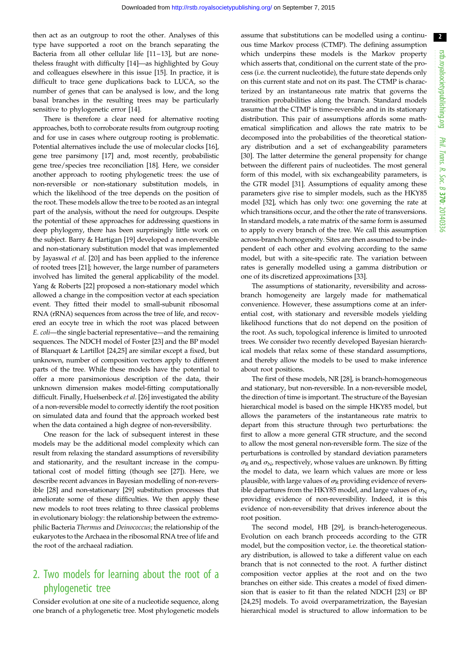then act as an outgroup to root the other. Analyses of this type have supported a root on the branch separating the Bacteria from all other cellular life [\[11](#page-7-0)-[13\]](#page-7-0), but are nonetheless fraught with difficulty [[14](#page-7-0)]—as highlighted by Gouy and colleagues elsewhere in this issue [[15\]](#page-7-0). In practice, it is difficult to trace gene duplications back to LUCA, so the number of genes that can be analysed is low, and the long basal branches in the resulting trees may be particularly sensitive to phylogenetic error [\[14](#page-7-0)].

There is therefore a clear need for alternative rooting approaches, both to corroborate results from outgroup rooting and for use in cases where outgroup rooting is problematic. Potential alternatives include the use of molecular clocks [\[16](#page-7-0)], gene tree parsimony [\[17](#page-7-0)] and, most recently, probabilistic gene tree/species tree reconciliation [[18](#page-7-0)]. Here, we consider another approach to rooting phylogenetic trees: the use of non-reversible or non-stationary substitution models, in which the likelihood of the tree depends on the position of the root. These models allow the tree to be rooted as an integral part of the analysis, without the need for outgroups. Despite the potential of these approaches for addressing questions in deep phylogeny, there has been surprisingly little work on the subject. Barry & Hartigan [\[19](#page-7-0)] developed a non-reversible and non-stationary substitution model that was implemented by Jayaswal et al. [\[20](#page-7-0)] and has been applied to the inference of rooted trees [\[21](#page-7-0)]; however, the large number of parameters involved has limited the general applicability of the model. Yang & Roberts [[22\]](#page-7-0) proposed a non-stationary model which allowed a change in the composition vector at each speciation event. They fitted their model to small-subunit ribosomal RNA (rRNA) sequences from across the tree of life, and recovered an eocyte tree in which the root was placed between E. coli—the single bacterial representative—and the remaining sequences. The NDCH model of Foster [[23\]](#page-7-0) and the BP model of Blanquart & Lartillot [\[24,25](#page-7-0)] are similar except a fixed, but unknown, number of composition vectors apply to different parts of the tree. While these models have the potential to offer a more parsimonious description of the data, their unknown dimension makes model-fitting computationally difficult. Finally, Huelsenbeck et al. [[26\]](#page-7-0) investigated the ability of a non-reversible model to correctly identify the root position on simulated data and found that the approach worked best when the data contained a high degree of non-reversibility.

One reason for the lack of subsequent interest in these models may be the additional model complexity which can result from relaxing the standard assumptions of reversibility and stationarity, and the resultant increase in the computational cost of model fitting (though see [\[27\]](#page-7-0)). Here, we describe recent advances in Bayesian modelling of non-reversible [\[28](#page-7-0)] and non-stationary [[29\]](#page-7-0) substitution processes that ameliorate some of these difficulties. We then apply these new models to root trees relating to three classical problems in evolutionary biology: the relationship between the extremophilic Bacteria Thermus and Deinococcus; the relationship of the eukaryotes to the Archaea in the ribosomal RNA tree of life and the root of the archaeal radiation.

# 2. Two models for learning about the root of a phylogenetic tree

Consider evolution at one site of a nucleotide sequence, along one branch of a phylogenetic tree. Most phylogenetic models assume that substitutions can be modelled using a continuous time Markov process (CTMP). The defining assumption which underpins these models is the Markov property which asserts that, conditional on the current state of the process (i.e. the current nucleotide), the future state depends only on this current state and not on its past. The CTMP is characterized by an instantaneous rate matrix that governs the transition probabilities along the branch. Standard models assume that the CTMP is time-reversible and in its stationary distribution. This pair of assumptions affords some mathematical simplification and allows the rate matrix to be decomposed into the probabilities of the theoretical stationary distribution and a set of exchangeability parameters [[30\]](#page-7-0). The latter determine the general propensity for change between the different pairs of nucleotides. The most general form of this model, with six exchangeability parameters, is the GTR model [\[31](#page-8-0)]. Assumptions of equality among these parameters give rise to simpler models, such as the HKY85 model [\[32](#page-8-0)], which has only two: one governing the rate at which transitions occur, and the other the rate of transversions. In standard models, a rate matrix of the same form is assumed to apply to every branch of the tree. We call this assumption across-branch homogeneity. Sites are then assumed to be independent of each other and evolving according to the same model, but with a site-specific rate. The variation between rates is generally modelled using a gamma distribution or one of its discretized approximations [[33](#page-8-0)].

The assumptions of stationarity, reversibility and acrossbranch homogeneity are largely made for mathematical convenience. However, these assumptions come at an inferential cost, with stationary and reversible models yielding likelihood functions that do not depend on the position of the root. As such, topological inference is limited to unrooted trees. We consider two recently developed Bayesian hierarchical models that relax some of these standard assumptions, and thereby allow the models to be used to make inference about root positions.

The first of these models, NR [[28\]](#page-7-0), is branch-homogeneous and stationary, but non-reversible. In a non-reversible model, the direction of time is important. The structure of the Bayesian hierarchical model is based on the simple HKY85 model, but allows the parameters of the instantaneous rate matrix to depart from this structure through two perturbations: the first to allow a more general GTR structure, and the second to allow the most general non-reversible form. The size of the perturbations is controlled by standard deviation parameters  $\sigma_R$  and  $\sigma_N$ , respectively, whose values are unknown. By fitting the model to data, we learn which values are more or less plausible, with large values of  $\sigma_R$  providing evidence of reversible departures from the HKY85 model, and large values of  $\sigma_{\rm N}$ providing evidence of non-reversibility. Indeed, it is this evidence of non-reversibility that drives inference about the root position.

The second model, HB [\[29](#page-7-0)], is branch-heterogeneous. Evolution on each branch proceeds according to the GTR model, but the composition vector, i.e. the theoretical stationary distribution, is allowed to take a different value on each branch that is not connected to the root. A further distinct composition vector applies at the root and on the two branches on either side. This creates a model of fixed dimension that is easier to fit than the related NDCH [\[23](#page-7-0)] or BP [[24,25\]](#page-7-0) models. To avoid overparametrization, the Bayesian hierarchical model is structured to allow information to be 2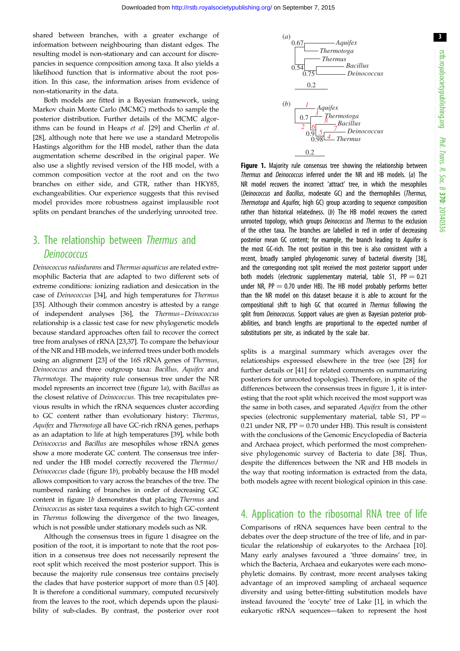3

shared between branches, with a greater exchange of information between neighbouring than distant edges. The resulting model is non-stationary and can account for discrepancies in sequence composition among taxa. It also yields a likelihood function that is informative about the root position. In this case, the information arises from evidence of non-stationarity in the data.

Both models are fitted in a Bayesian framework, using Markov chain Monte Carlo (MCMC) methods to sample the posterior distribution. Further details of the MCMC algorithms can be found in Heaps et al. [\[29](#page-7-0)] and Cherlin et al. [\[28](#page-7-0)], although note that here we use a standard Metropolis Hastings algorithm for the HB model, rather than the data augmentation scheme described in the original paper. We also use a slightly revised version of the HB model, with a common composition vector at the root and on the two branches on either side, and GTR, rather than HKY85, exchangeabilities. Our experience suggests that this revised model provides more robustness against implausible root splits on pendant branches of the underlying unrooted tree.

## 3. The relationship between Thermus and **Deinococcus**

Deinococcus radiodurans and Thermus aquaticus are related extremophilic Bacteria that are adapted to two different sets of extreme conditions: ionizing radiation and desiccation in the case of Deinococcus [[34\]](#page-8-0), and high temperatures for Thermus [\[35](#page-8-0)]. Although their common ancestry is attested by a range of independent analyses [[36\]](#page-8-0), the Thermus–Deinococcus relationship is a classic test case for new phylogenetic models because standard approaches often fail to recover the correct tree from analyses of rRNA [[23](#page-7-0)[,37](#page-8-0)]. To compare the behaviour of the NR and HB models, we inferred trees under both models using an alignment [[23\]](#page-7-0) of the 16S rRNA genes of Thermus, Deinococcus and three outgroup taxa: Bacillus, Aquifex and Thermotoga. The majority rule consensus tree under the NR model represents an incorrect tree (figure 1a), with Bacillus as the closest relative of Deinococcus. This tree recapitulates previous results in which the rRNA sequences cluster according to GC content rather than evolutionary history: Thermus, Aquifex and Thermotoga all have GC-rich rRNA genes, perhaps as an adaptation to life at high temperatures [\[39](#page-8-0)], while both Deinococcus and Bacillus are mesophiles whose rRNA genes show a more moderate GC content. The consensus tree inferred under the HB model correctly recovered the Thermus/ Deinococcus clade (figure 1b), probably because the HB model allows composition to vary across the branches of the tree. The numbered ranking of branches in order of decreasing GC content in figure 1b demonstrates that placing Thermus and Deinococcus as sister taxa requires a switch to high GC-content in Thermus following the divergence of the two lineages, which is not possible under stationary models such as NR.

Although the consensus trees in figure 1 disagree on the position of the root, it is important to note that the root position in a consensus tree does not necessarily represent the root split which received the most posterior support. This is because the majority rule consensus tree contains precisely the clades that have posterior support of more than 0.5 [\[40](#page-8-0)]. It is therefore a conditional summary, computed recursively from the leaves to the root, which depends upon the plausibility of sub-clades. By contrast, the posterior over root



Figure 1. Majority rule consensus tree showing the relationship between Thermus and Deinococcus inferred under the NR and HB models. (a) The NR model recovers the incorrect 'attract' tree, in which the mesophiles (Deinococcus and Bacillus, moderate GC) and the thermophiles (Thermus, Thermotoga and Aquifex, high GC) group according to sequence composition rather than historical relatedness. (b) The HB model recovers the correct unrooted topology, which groups *Deinococcus* and *Thermus* to the exclusion of the other taxa. The branches are labelled in red in order of decreasing posterior mean GC content; for example, the branch leading to Aquifex is the most GC-rich. The root position in this tree is also consistent with a recent, broadly sampled phylogenomic survey of bacterial diversity [[38](#page-8-0)], and the corresponding root split received the most posterior support under both models (electronic supplementary material, table S1,  $PP = 0.21$ under NR,  $PP = 0.70$  under HB). The HB model probably performs better than the NR model on this dataset because it is able to account for the compositional shift to high GC that occurred in Thermus following the split from *Deinococcus*. Support values are given as Bayesian posterior probabilities, and branch lengths are proportional to the expected number of substitutions per site, as indicated by the scale bar.

splits is a marginal summary which averages over the relationships expressed elsewhere in the tree (see [[28\]](#page-7-0) for further details or [\[41](#page-8-0)] for related comments on summarizing posteriors for unrooted topologies). Therefore, in spite of the differences between the consensus trees in figure 1, it is interesting that the root split which received the most support was the same in both cases, and separated Aquifex from the other species (electronic supplementary material, table S1,  $PP =$ 0.21 under NR,  $PP = 0.70$  under HB). This result is consistent with the conclusions of the Genomic Encyclopedia of Bacteria and Archaea project, which performed the most comprehensive phylogenomic survey of Bacteria to date [[38\]](#page-8-0). Thus, despite the differences between the NR and HB models in the way that rooting information is extracted from the data, both models agree with recent biological opinion in this case.

### 4. Application to the ribosomal RNA tree of life

Comparisons of rRNA sequences have been central to the debates over the deep structure of the tree of life, and in particular the relationship of eukaryotes to the Archaea [[10\]](#page-7-0). Many early analyses favoured a 'three domains' tree, in which the Bacteria, Archaea and eukaryotes were each monophyletic domains. By contrast, more recent analyses taking advantage of an improved sampling of archaeal sequence diversity and using better-fitting substitution models have instead favoured the 'eocyte' tree of Lake [[1](#page-7-0)], in which the eukaryotic rRNA sequences—taken to represent the host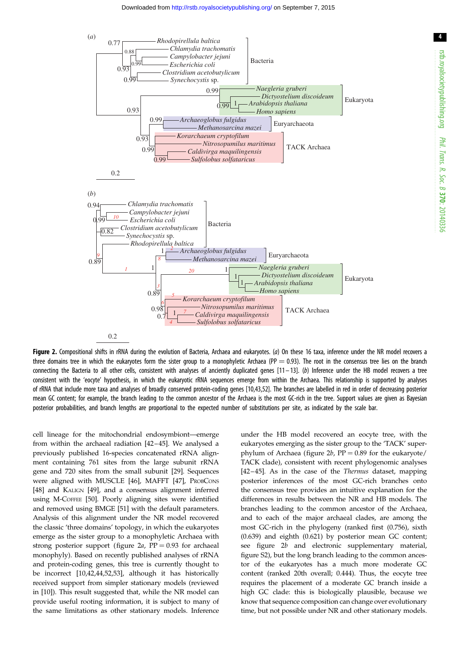

<span id="page-4-0"></span>

Figure 2. Compositional shifts in rRNA during the evolution of Bacteria, Archaea and eukaryotes. (a) On these 16 taxa, inference under the NR model recovers a three domains tree in which the eukaryotes form the sister group to a monophyletic Archaea (PP  $= 0.93$ ). The root in the consensus tree lies on the branch connecting the Bacteria to all other cells, consistent with analyses of anciently duplicated genes [\[11](#page-7-0) – [13](#page-7-0)]. (b) Inference under the HB model recovers a tree consistent with the 'eocyte' hypothesis, in which the eukaryotic rRNA sequences emerge from within the Archaea. This relationship is supported by analyses of rRNA that include more taxa and analyses of broadly conserved protein-coding genes [[10](#page-7-0)[,43,52\]](#page-8-0). The branches are labelled in red in order of decreasing posterior mean GC content; for example, the branch leading to the common ancestor of the Archaea is the most GC-rich in the tree. Support values are given as Bayesian posterior probabilities, and branch lengths are proportional to the expected number of substitutions per site, as indicated by the scale bar.

cell lineage for the mitochondrial endosymbiont—emerge from within the archaeal radiation [\[42](#page-8-0)–[45](#page-8-0)]. We analysed a previously published 16-species concatenated rRNA alignment containing 761 sites from the large subunit rRNA gene and 720 sites from the small subunit [[29\]](#page-7-0). Sequences were aligned with MUSCLE [[46\]](#page-8-0), MAFFT [[47\]](#page-8-0), PROBCONS [\[48](#page-8-0)] and KALIGN [\[49](#page-8-0)], and a consensus alignment inferred using M-COFFEE [[50\]](#page-8-0). Poorly aligning sites were identified and removed using BMGE [\[51](#page-8-0)] with the default parameters. Analysis of this alignment under the NR model recovered the classic 'three domains' topology, in which the eukaryotes emerge as the sister group to a monophyletic Archaea with strong posterior support (figure 2a,  $PP = 0.93$  for archaeal monophyly). Based on recently published analyses of rRNA and protein-coding genes, this tree is currently thought to be incorrect [[10,](#page-7-0)[42,44,52,53\]](#page-8-0), although it has historically received support from simpler stationary models (reviewed in [\[10](#page-7-0)]). This result suggested that, while the NR model can provide useful rooting information, it is subject to many of the same limitations as other stationary models. Inference under the HB model recovered an eocyte tree, with the eukaryotes emerging as the sister group to the 'TACK' superphylum of Archaea (figure 2b,  $PP = 0.89$  for the eukaryote/ TACK clade), consistent with recent phylogenomic analyses [[42](#page-8-0) –[45](#page-8-0)]. As in the case of the Thermus dataset, mapping posterior inferences of the most GC-rich branches onto the consensus tree provides an intuitive explanation for the differences in results between the NR and HB models. The branches leading to the common ancestor of the Archaea, and to each of the major archaeal clades, are among the most GC-rich in the phylogeny (ranked first (0.756), sixth (0.639) and eighth (0.621) by posterior mean GC content; see figure 2b and electronic supplementary material, figure S2), but the long branch leading to the common ancestor of the eukaryotes has a much more moderate GC content (ranked 20th overall; 0.444). Thus, the eocyte tree requires the placement of a moderate GC branch inside a high GC clade: this is biologically plausible, because we know that sequence composition can change over evolutionary time, but not possible under NR and other stationary models.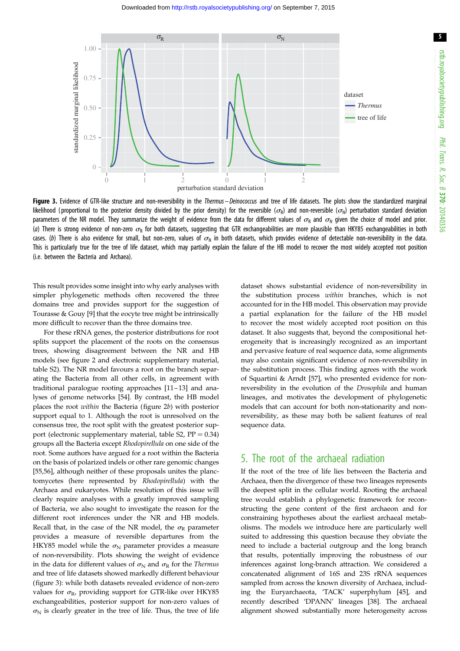

Figure 3. Evidence of GTR-like structure and non-reversibility in the Thermus - Deinococcus and tree of life datasets. The plots show the standardized marginal likelihood (proportional to the posterior density divided by the prior density) for the reversible ( $\sigma_{\rm h}$ ) and non-reversible ( $\sigma_{\rm h}$ ) perturbation standard deviation parameters of the NR model. They summarize the weight of evidence from the data for different values of  $\sigma_R$  and  $\sigma_M$  given the choice of model and prior. (a) There is strong evidence of non-zero  $\sigma_R$  for both datasets, suggesting that GTR exchangeabilities are more plausible than HKY85 exchangeabilities in both cases. (b) There is also evidence for small, but non-zero, values of  $\sigma_N$  in both datasets, which provides evidence of detectable non-reversibility in the data. This is particularly true for the tree of life dataset, which may partially explain the failure of the HB model to recover the most widely accepted root position (i.e. between the Bacteria and Archaea).

This result provides some insight into why early analyses with simpler phylogenetic methods often recovered the three domains tree and provides support for the suggestion of Tourasse & Gouy [\[9\]](#page-7-0) that the eocyte tree might be intrinsically more difficult to recover than the three domains tree.

For these rRNA genes, the posterior distributions for root splits support the placement of the roots on the consensus trees, showing disagreement between the NR and HB models (see [figure 2](#page-4-0) and electronic supplementary material, table S2). The NR model favours a root on the branch separating the Bacteria from all other cells, in agreement with traditional paralogue rooting approaches [[11](#page-7-0)–[13](#page-7-0)] and analyses of genome networks [[54\]](#page-8-0). By contrast, the HB model places the root within the Bacteria ([figure 2](#page-4-0)b) with posterior support equal to 1. Although the root is unresolved on the consensus tree, the root split with the greatest posterior support (electronic supplementary material, table S2,  $PP = 0.34$ ) groups all the Bacteria except Rhodopirellula on one side of the root. Some authors have argued for a root within the Bacteria on the basis of polarized indels or other rare genomic changes [\[55](#page-8-0),[56\]](#page-8-0), although neither of these proposals unites the planctomycetes (here represented by Rhodopirellula) with the Archaea and eukaryotes. While resolution of this issue will clearly require analyses with a greatly improved sampling of Bacteria, we also sought to investigate the reason for the different root inferences under the NR and HB models. Recall that, in the case of the NR model, the  $\sigma_R$  parameter provides a measure of reversible departures from the HKY85 model while the  $\sigma_N$  parameter provides a measure of non-reversibility. Plots showing the weight of evidence in the data for different values of  $\sigma_N$  and  $\sigma_R$  for the Thermus and tree of life datasets showed markedly different behaviour (figure 3): while both datasets revealed evidence of non-zero values for  $\sigma_{\text{R}}$ , providing support for GTR-like over HKY85 exchangeabilities, posterior support for non-zero values of  $\sigma_{\rm N}$  is clearly greater in the tree of life. Thus, the tree of life

dataset shows substantial evidence of non-reversibility in the substitution process within branches, which is not accounted for in the HB model. This observation may provide a partial explanation for the failure of the HB model to recover the most widely accepted root position on this dataset. It also suggests that, beyond the compositional heterogeneity that is increasingly recognized as an important and pervasive feature of real sequence data, some alignments may also contain significant evidence of non-reversibility in the substitution process. This finding agrees with the work of Squartini & Arndt [[57\]](#page-8-0), who presented evidence for nonreversibility in the evolution of the Drosophila and human lineages, and motivates the development of phylogenetic models that can account for both non-stationarity and nonreversibility, as these may both be salient features of real sequence data.

### 5. The root of the archaeal radiation

If the root of the tree of life lies between the Bacteria and Archaea, then the divergence of these two lineages represents the deepest split in the cellular world. Rooting the archaeal tree would establish a phylogenetic framework for reconstructing the gene content of the first archaeon and for constraining hypotheses about the earliest archaeal metabolisms. The models we introduce here are particularly well suited to addressing this question because they obviate the need to include a bacterial outgroup and the long branch that results, potentially improving the robustness of our inferences against long-branch attraction. We considered a concatenated alignment of 16S and 23S rRNA sequences sampled from across the known diversity of Archaea, including the Euryarchaeota, 'TACK' superphylum [\[45](#page-8-0)], and recently described 'DPANN' lineages [[38\]](#page-8-0). The archaeal alignment showed substantially more heterogeneity across

5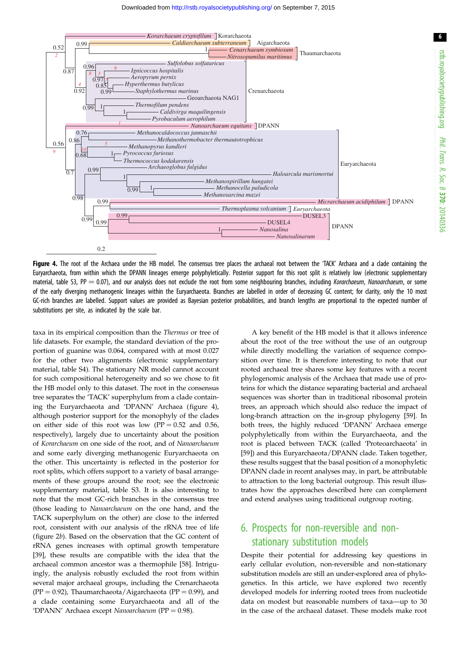

Figure 4. The root of the Archaea under the HB model. The consensus tree places the archaeal root between the 'TACK' Archaea and a clade containing the Euryarchaeota, from within which the DPANN lineages emerge polyphyletically. Posterior support for this root split is relatively low (electronic supplementary material, table S3, PP = 0.07), and our analysis does not exclude the root from some neighbouring branches, including Korarchaeum, Nanoarchaeum, or some of the early diverging methanogenic lineages within the Euryarchaeota. Branches are labelled in order of decreasing GC content; for clarity, only the 10 most GC-rich branches are labelled. Support values are provided as Bayesian posterior probabilities, and branch lengths are proportional to the expected number of substitutions per site, as indicated by the scale bar.

taxa in its empirical composition than the Thermus or tree of life datasets. For example, the standard deviation of the proportion of guanine was 0.064, compared with at most 0.027 for the other two alignments (electronic supplementary material, table S4). The stationary NR model cannot account for such compositional heterogeneity and so we chose to fit the HB model only to this dataset. The root in the consensus tree separates the 'TACK' superphylum from a clade containing the Euryarchaeota and 'DPANN' Archaea (figure 4), although posterior support for the monophyly of the clades on either side of this root was low  $(PP = 0.52$  and 0.56, respectively), largely due to uncertainty about the position of Korarchaeum on one side of the root, and of Nanoarchaeum and some early diverging methanogenic Euryarchaeota on the other. This uncertainty is reflected in the posterior for root splits, which offers support to a variety of basal arrangements of these groups around the root; see the electronic supplementary material, table S3. It is also interesting to note that the most GC-rich branches in the consensus tree (those leading to Nanoarchaeum on the one hand, and the TACK superphylum on the other) are close to the inferred root, consistent with our analysis of the rRNA tree of life [\(figure 2](#page-4-0)b). Based on the observation that the GC content of rRNA genes increases with optimal growth temperature [\[39](#page-8-0)], these results are compatible with the idea that the archaeal common ancestor was a thermophile [\[58](#page-8-0)]. Intriguingly, the analysis robustly excluded the root from within several major archaeal groups, including the Crenarchaeota  $(PP = 0.92)$ , Thaumarchaeota/Aigarchaeota (PP = 0.99), and a clade containing some Euryarchaeota and all of the 'DPANN' Archaea except Nanoarchaeum (PP =  $0.98$ ).

A key benefit of the HB model is that it allows inference about the root of the tree without the use of an outgroup while directly modelling the variation of sequence composition over time. It is therefore interesting to note that our rooted archaeal tree shares some key features with a recent phylogenomic analysis of the Archaea that made use of proteins for which the distance separating bacterial and archaeal sequences was shorter than in traditional ribosomal protein trees, an approach which should also reduce the impact of long-branch attraction on the in-group phylogeny [[59\]](#page-8-0). In both trees, the highly reduced 'DPANN' Archaea emerge polyphyletically from within the Euryarchaeota, and the root is placed between TACK (called 'Proteoarchaeota' in [[59\]](#page-8-0)) and this Euryarchaeota/DPANN clade. Taken together, these results suggest that the basal position of a monophyletic DPANN clade in recent analyses may, in part, be attributable to attraction to the long bacterial outgroup. This result illustrates how the approaches described here can complement and extend analyses using traditional outgroup rooting.

## 6. Prospects for non-reversible and nonstationary substitution models

Despite their potential for addressing key questions in early cellular evolution, non-reversible and non-stationary substitution models are still an under-explored area of phylogenetics. In this article, we have explored two recently developed models for inferring rooted trees from nucleotide data on modest but reasonable numbers of taxa—up to 30 in the case of the archaeal dataset. These models make root

6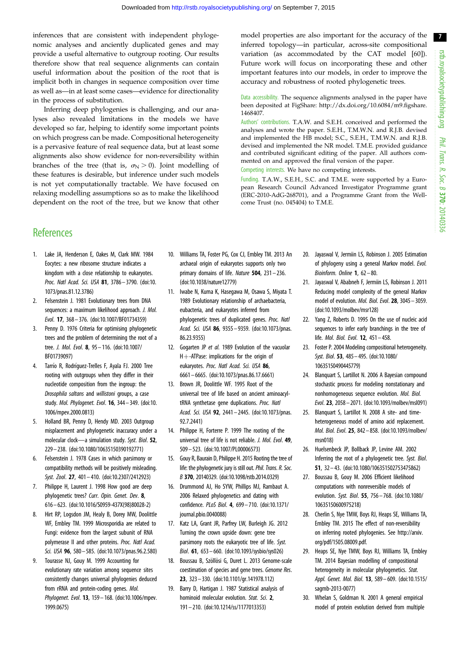7

<span id="page-7-0"></span>inferences that are consistent with independent phylogenomic analyses and anciently duplicated genes and may provide a useful alternative to outgroup rooting. Our results therefore show that real sequence alignments can contain useful information about the position of the root that is implicit both in changes in sequence composition over time as well as—in at least some cases—evidence for directionality in the process of substitution.

Inferring deep phylogenies is challenging, and our analyses also revealed limitations in the models we have developed so far, helping to identify some important points on which progress can be made. Compositional heterogeneity is a pervasive feature of real sequence data, but at least some alignments also show evidence for non-reversibility within branches of the tree (that is,  $\sigma_N > 0$ ). Joint modelling of these features is desirable, but inference under such models is not yet computationally tractable. We have focused on relaxing modelling assumptions so as to make the likelihood dependent on the root of the tree, but we know that other model properties are also important for the accuracy of the inferred topology—in particular, across-site compositional variation (as accommodated by the CAT model [[60\]](#page-8-0)). Future work will focus on incorporating these and other important features into our models, in order to improve the accuracy and robustness of rooted phylogenetic trees.

Data accessibility. The sequence alignments analysed in the paper have been deposited at FigShare: [http://dx.doi.org/10.6084/m9.figshare.](http://dx.doi.org/10.6084/m9.figshare.1468407) [1468407.](http://dx.doi.org/10.6084/m9.figshare.1468407)

Authors' contributions. T.A.W. and S.E.H. conceived and performed the analyses and wrote the paper. S.E.H., T.M.W.N. and R.J.B. devised and implemented the HB model; S.C., S.E.H., T.M.W.N. and R.J.B. devised and implemented the NR model. T.M.E. provided guidance and contributed significant editing of the paper. All authors commented on and approved the final version of the paper.

Competing interests. We have no competing interests.

Funding. T.A.W., S.E.H., S.C. and T.M.E. were supported by a European Research Council Advanced Investigator Programme grant (ERC-2010-AdG-268701), and a Programme Grant from the Wellcome Trust (no. 045404) to T.M.E.

### **References**

- 1. Lake JA, Henderson E, Oakes M, Clark MW. 1984 Eocytes: a new ribosome structure indicates a kingdom with a close relationship to eukaryotes. Proc. Natl Acad. Sci. USA 81, 3786– 3790. ([doi:10.](http://dx.doi.org/10.1073/pnas.81.12.3786) [1073/pnas.81.12.3786\)](http://dx.doi.org/10.1073/pnas.81.12.3786)
- 2. Felsenstein J. 1981 Evolutionary trees from DNA sequences: a maximum likelihood approach. J. Mol. Evol. 17, 368 – 376. [\(doi:10.1007/BF01734359](http://dx.doi.org/10.1007/BF01734359))
- 3. Penny D. 1976 Criteria for optimising phylogenetic trees and the problem of determining the root of a tree. J. Mol. Evol. 8, 95 – 116. [\(doi:10.1007/](http://dx.doi.org/10.1007/BF01739097) [BF01739097\)](http://dx.doi.org/10.1007/BF01739097)
- 4. Tarrío R, Rodríguez-Trelles F, Ayala FJ. 2000 Tree rooting with outgroups when they differ in their nucleotide composition from the ingroup: the Drosophila saltans and willistoni groups, a case study. Mol. Phylogenet. Evol. 16, 344– 349. ([doi:10.](http://dx.doi.org/10.1006/mpev.2000.0813) [1006/mpev.2000.0813\)](http://dx.doi.org/10.1006/mpev.2000.0813)
- 5. Holland BR, Penny D, Hendy MD. 2003 Outgroup misplacement and phylogenetic inaccuracy under a molecular clock—a simulation study. Syst. Biol. 52, 229– 238. ([doi:10.1080/10635150390192771](http://dx.doi.org/10.1080/10635150390192771))
- 6. Felsenstein J. 1978 Cases in which parsimony or compatibility methods will be positively misleading. Syst. Zool. 27, 401– 410. ([doi:10.2307/2412923\)](http://dx.doi.org/10.2307/2412923)
- 7. Philippe H, Laurent J. 1998 How good are deep phylogenetic trees? Curr. Opin. Genet. Dev. 8, 616– 623. ([doi:10.1016/S0959-437X\(98\)80028-2\)](http://dx.doi.org/10.1016/S0959-437X(98)80028-2)
- 8. Hirt RP, Logsdon JM, Healy B, Dorey MW, Doolittle WF, Embley TM. 1999 Microsporidia are related to Fungi: evidence from the largest subunit of RNA polymerase II and other proteins. Proc. Natl Acad. Sci. USA 96, 580 - 585. [\(doi:10.1073/pnas.96.2.580\)](http://dx.doi.org/10.1073/pnas.96.2.580)
- 9. Tourasse NJ, Gouy M. 1999 Accounting for evolutionary rate variation among sequence sites consistently changes universal phylogenies deduced from rRNA and protein-coding genes. Mol. Phylogenet. Evol. 13, 159– 168. ([doi:10.1006/mpev.](http://dx.doi.org/10.1006/mpev.1999.0675) [1999.0675\)](http://dx.doi.org/10.1006/mpev.1999.0675)
- 10. Williams TA, Foster PG, Cox CJ, Embley TM. 2013 An archaeal origin of eukaryotes supports only two primary domains of life. Nature 504, 231-236. [\(doi:10.1038/nature12779](http://dx.doi.org/10.1038/nature12779))
- 11. Iwabe N, Kuma K, Hasegawa M, Osawa S, Miyata T. 1989 Evolutionary relationship of archaebacteria, eubacteria, and eukaryotes inferred from phylogenetic trees of duplicated genes. Proc. Natl Acad. Sci. USA 86, 9355– 9359. [\(doi:10.1073/pnas.](http://dx.doi.org/10.1073/pnas.86.23.9355) [86.23.9355](http://dx.doi.org/10.1073/pnas.86.23.9355))
- 12. Gogarten JP et al. 1989 Evolution of the vacuolar  $H + -ATP$ ase: implications for the origin of eukaryotes. Proc. Natl Acad. Sci. USA 86, 6661– 6665. [\(doi:10.1073/pnas.86.17.6661\)](http://dx.doi.org/10.1073/pnas.86.17.6661)
- 13. Brown JR, Doolittle WF. 1995 Root of the universal tree of life based on ancient aminoacyltRNA synthetase gene duplications. Proc. Natl Acad. Sci. USA 92, 2441– 2445. [\(doi:10.1073/pnas.](http://dx.doi.org/10.1073/pnas.92.7.2441) [92.7.2441\)](http://dx.doi.org/10.1073/pnas.92.7.2441)
- 14. Philippe H, Forterre P. 1999 The rooting of the universal tree of life is not reliable. J. Mol. Evol. 49, 509 – 523. [\(doi:10.1007/PL00006573\)](http://dx.doi.org/10.1007/PL00006573)
- 15. Gouy R, Baurain D, Philippe H. 2015 Rooting the tree of life: the phylogenetic jury is still out. Phil. Trans. R. Soc. B 370, 20140329. [\(doi:10.1098/rstb.2014.0329\)](http://dx.doi.org/10.1098/rstb.2014.0329)
- 16. Drummond AJ, Ho SYW, Phillips MJ, Rambaut A. 2006 Relaxed phylogenetics and dating with confidence. PLoS Biol. 4, 699– 710. [\(doi:10.1371/](http://dx.doi.org/10.1371/journal.pbio.0040088) [journal.pbio.0040088](http://dx.doi.org/10.1371/journal.pbio.0040088))
- 17. Katz LA, Grant JR, Parfrey LW, Burleigh JG. 2012 Turning the crown upside down: gene tree parsimony roots the eukaryotic tree of life. Syst. Biol. 61, 653 – 660. [\(doi:10.1093/sysbio/sys026\)](http://dx.doi.org/10.1093/sysbio/sys026)
- 18. Boussau B, Szöllösi G, Duret L. 2013 Genome-scale coestimation of species and gene trees. Genome Res. 23, 323– 330. ([doi:10.1101/gr.141978.112\)](http://dx.doi.org/10.1101/gr.141978.112)
- 19. Barry D, Hartigan J. 1987 Statistical analysis of hominoid molecular evolution. Stat. Sci. 2, 191 – 210. [\(doi:10.1214/ss/1177013353](http://dx.doi.org/10.1214/ss/1177013353))
- 20. Jayaswal V, Jermiin LS, Robinson J. 2005 Estimation of phylogeny using a general Markov model. Evol. Bioinform. Online  $1, 62 - 80.$
- 21. Jayaswal V, Ababneh F, Jermiin LS, Robinson J. 2011 Reducing model complexity of the general Markov model of evolution. Mol. Biol. Evol. 28, 3045 – 3059. ([doi:10.1093/molbev/msr128\)](http://dx.doi.org/10.1093/molbev/msr128)
- 22. Yang Z, Roberts D. 1995 On the use of nucleic acid sequences to infer early branchings in the tree of life. Mol. Biol. Evol. 12, 451– 458.
- 23. Foster P. 2004 Modeling compositional heterogeneity. Syst. Biol. 53, 485– 495. [\(doi:10.1080/](http://dx.doi.org/10.1080/10635150490445779) [10635150490445779](http://dx.doi.org/10.1080/10635150490445779))
- 24. Blanquart S, Lartillot N. 2006 A Bayesian compound stochastic process for modeling nonstationary and nonhomogeneous sequence evolution. Mol. Biol. Evol. 23, 2058 – 2071. [\(doi:10.1093/molbev/msl091](http://dx.doi.org/10.1093/molbev/msl091))
- 25. Blanquart S, Lartillot N. 2008 A site- and timeheterogeneous model of amino acid replacement. Mol. Biol. Evol. 25, 842– 858. [\(doi:10.1093/molbev/](http://dx.doi.org/10.1093/molbev/msn018) [msn018](http://dx.doi.org/10.1093/molbev/msn018))
- 26. Huelsenbeck JP, Bollback JP, Levine AM. 2002 Inferring the root of a phylogenetic tree. Syst. Biol. 51, 32 – 43. ([doi:10.1080/106351502753475862\)](http://dx.doi.org/10.1080/106351502753475862)
- 27. Boussau B, Gouy M. 2006 Efficient likelihood computations with nonreversible models of evolution. Syst. Biol. 55, 756– 768. [\(doi:10.1080/](http://dx.doi.org/10.1080/10635150600975218) [10635150600975218](http://dx.doi.org/10.1080/10635150600975218))
- 28. Cherlin S, Nye TMW, Boys RJ, Heaps SE, Williams TA, Embley TM. 2015 The effect of non-reversibility on inferring rooted phylogenies. See [http://arxiv.](http://arxiv.org/pdf/1505.08009.pdf) [org/pdf/1505.08009.pdf.](http://arxiv.org/pdf/1505.08009.pdf)
- 29. Heaps SE, Nye TMW, Boys RJ, Williams TA, Embley TM. 2014 Bayesian modelling of compositional heterogeneity in molecular phylogenetics. Stat. Appl. Genet. Mol. Biol. 13, 589– 609. [\(doi:10.1515/](http://dx.doi.org/10.1515/sagmb-2013-0077) [sagmb-2013-0077\)](http://dx.doi.org/10.1515/sagmb-2013-0077)
- 30. Whelan S, Goldman N. 2001 A general empirical model of protein evolution derived from multiple